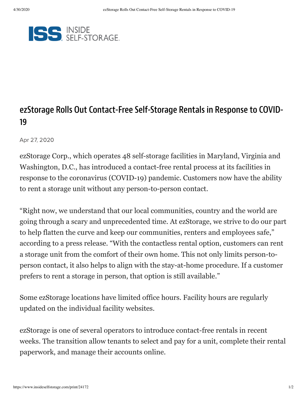

## ezStorage Rolls Out Contact-Free Self-Storage Rentals in Response to COVID-19

Apr 27, 2020

ezStorage Corp., which operates 48 self-storage facilities in Maryland, Virginia and Washington, D.C., has introduced a contact-free rental process at its facilities in response to the coronavirus (COVID-19) pandemic. Customers now have the ability to rent a storage unit without any person-to-person contact.

"Right now, we understand that our local communities, country and the world are going through a scary and unprecedented time. At ezStorage, we strive to do our part to help flatten the curve and keep our communities, renters and employees safe," according to a press release. "With the contactless rental option, customers can rent a storage unit from the comfort of their own home. This not only limits person-toperson contact, it also helps to align with the stay-at-home procedure. If a customer prefers to rent a storage in person, that option is still available."

Some ezStorage locations have limited office hours. Facility hours are regularly updated on the individual facility websites.

ezStorage is one of several operators to introduce contact-free rentals in recent weeks. The transition allow tenants to select and pay for a unit, complete their rental paperwork, and manage their accounts online.